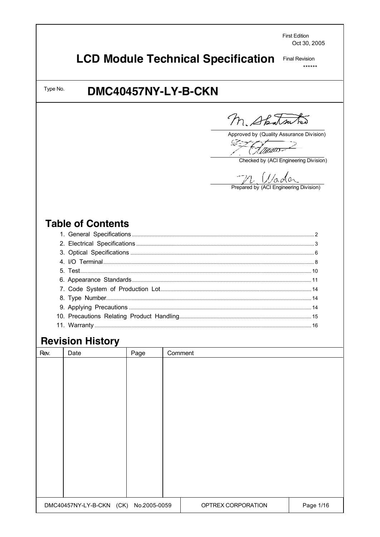**First Edition** Oct 30, 2005

#### **LCD Module Technical Specification Final Revision**

 $******$ 

# DMC40457NY-LY-B-CKN

M. Spatsutes

Approved by (Quality Assurance Division)

्ट्र (F*amu*o

Checked by (ACI Engineering Division)

 $\mathbb{Z}$  /  $\mathbb{Z}$  ( $\mathbb{Z}$  o  $\mathbb{Z}$  o  $\mathbb{Z}$  o  $\mathbb{Z}$  Prepared by (ACI Engineering Division)

# **Table of Contents**

Type No.

# **Revision History**

| Rev. | Date                                  | Page | Comment                         |
|------|---------------------------------------|------|---------------------------------|
|      |                                       |      |                                 |
|      |                                       |      |                                 |
|      |                                       |      |                                 |
|      |                                       |      |                                 |
|      |                                       |      |                                 |
|      |                                       |      |                                 |
|      |                                       |      |                                 |
|      |                                       |      |                                 |
|      |                                       |      |                                 |
|      |                                       |      |                                 |
|      |                                       |      |                                 |
|      |                                       |      |                                 |
|      |                                       |      |                                 |
|      |                                       |      |                                 |
|      | DMC40457NY-LY-B-CKN (CK) No.2005-0059 |      | Page 1/16<br>OPTREX CORPORATION |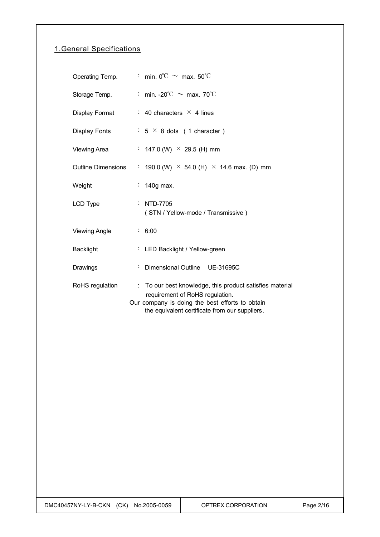## 1.General Specifications

| Operating Temp.     | : min. $0^{\circ}$ C $\sim$ max. 50 $^{\circ}$ C                                                                                                                                                 |
|---------------------|--------------------------------------------------------------------------------------------------------------------------------------------------------------------------------------------------|
| Storage Temp.       | : min. -20°C $\sim$ max. 70°C                                                                                                                                                                    |
| Display Format      | : 40 characters $\times$ 4 lines                                                                                                                                                                 |
| Display Fonts       | $: 5 \times 8$ dots (1 character)                                                                                                                                                                |
| <b>Viewing Area</b> | : 147.0 (W) $\times$ 29.5 (H) mm                                                                                                                                                                 |
|                     | Outline Dimensions : 190.0 (W) $\times$ 54.0 (H) $\times$ 14.6 max. (D) mm                                                                                                                       |
| Weight              | $\div$ 140g max.                                                                                                                                                                                 |
| LCD Type            | : NTD-7705<br>(STN / Yellow-mode / Transmissive)                                                                                                                                                 |
| Viewing Angle       | : 6:00                                                                                                                                                                                           |
| <b>Backlight</b>    | : LED Backlight / Yellow-green                                                                                                                                                                   |
| Drawings            | : Dimensional Outline UE-31695C                                                                                                                                                                  |
| RoHS regulation     | : To our best knowledge, this product satisfies material<br>requirement of RoHS regulation.<br>Our company is doing the best efforts to obtain<br>the equivalent certificate from our suppliers. |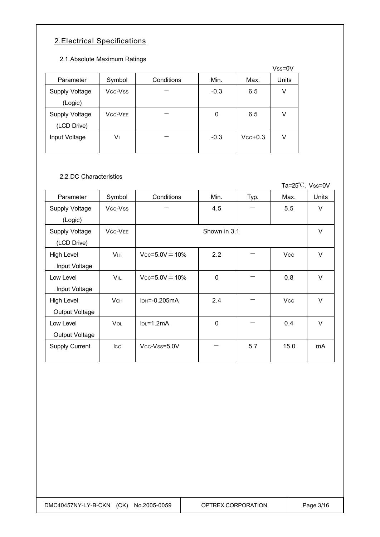## 2.Electrical Specifications

2.1.Absolute Maximum Ratings

|                       |                |            |        |           | $Vss = 0V$ |
|-----------------------|----------------|------------|--------|-----------|------------|
| Parameter             | Symbol         | Conditions | Min.   | Max.      | Units      |
| Supply Voltage        | Vcc-Vss        |            | $-0.3$ | 6.5       | V          |
| (Logic)               |                |            |        |           |            |
| <b>Supply Voltage</b> | <b>VCC-VEE</b> |            | 0      | 6.5       | V          |
| (LCD Drive)           |                |            |        |           |            |
| Input Voltage         | V١             |            | $-0.3$ | $Vcc+0.3$ | v          |
|                       |                |            |        |           |            |

#### 2.2.DC Characteristics

Ta=25℃, Vss=0V Parameter Symbol Conditions Min. Typ. Max. Units Supply Voltage (Logic)  $Vcc-Vss$  - 4.5 - 5.5 V Supply Voltage (LCD Drive) VCC-VEE V High Level Input Voltage  $V_{\text{IH}}$   $V_{\text{CC}}=5.0V \pm 10\%$  2.2  $-$  V  $V_{\text{CC}}$  V Low Level Input Voltage  $V_{IL}$   $V_{CC}=5.0V \pm 10\%$  0  $-$  0.8  $V$ High Level Output Voltage  $V$ OH  $\bigcup$  IOH = -0.205mA  $\bigcup$  2.4  $\bigcup$  -  $\bigcup$  Vcc  $\bigcup$  V Low Level Output Voltage  $V$ OL |  $I$ OL = 1.2mA | 0 | - | 0.4 | V Supply Current ICC VCC-VSS=5.0V - 5.7 15.0 mA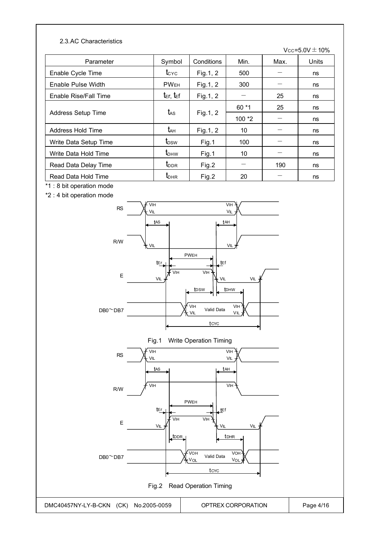#### 2.3.AC Characteristics

Vcc=5.0V $\pm$ 10%

| Parameter             | Symbol                             | Conditions | Min.    | Max. | Units |
|-----------------------|------------------------------------|------------|---------|------|-------|
| Enable Cycle Time     | $t_{\rm CYC}$                      | Fig.1, 2   | 500     |      | ns    |
| Enable Pulse Width    | <b>PWEH</b>                        | Fig. 1, 2  | 300     |      | ns    |
| Enable Rise/Fall Time | $t_{\text{E}}$ r, $t_{\text{E}}$ f | Fig. 1, 2  |         | 25   | ns    |
|                       |                                    |            | $60*1$  | 25   | ns    |
| Address Setup Time    | t <sub>AS</sub>                    | Fig.1, 2   | $100*2$ |      | ns    |
| Address Hold Time     | t <sub>дн</sub>                    | Fig.1, 2   | 10      |      | ns    |
| Write Data Setup Time | t <sub>DSW</sub>                   | Fig.1      | 100     |      | ns    |
| Write Data Hold Time  | $t_{\text{DHW}}$                   | Fig.1      | 10      |      | ns    |
| Read Data Delay Time  | $t_{\rm DDR}$                      | Fig.2      |         | 190  | ns    |
| Read Data Hold Time   | $t_{\text{DHR}}$                   | Fig.2      | 20      |      | ns    |

\*1 : 8 bit operation mode

\*2 : 4 bit operation mode





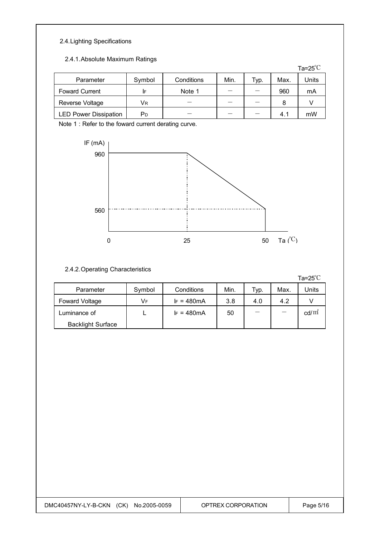## 2.4.Lighting Specifications

#### 2.4.1.Absolute Maximum Ratings

|                              |        |            |      |      |      | Ta= $25^{\circ}$ C |
|------------------------------|--------|------------|------|------|------|--------------------|
| Parameter                    | Symbol | Conditions | Min. | Typ. | Max. | Units              |
| <b>Foward Current</b>        | IF     | Note 1     |      |      | 960  | mA                 |
| Reverse Voltage              | Vr     |            |      |      | 8    |                    |
| <b>LED Power Dissipation</b> | РD     |            | _    |      | 4.1  | mW                 |

Note 1 : Refer to the foward current derating curve.



### 2.4.2.Operating Characteristics

Ta=25℃

| Parameter                | Symbol | Conditions          | Min. | Typ. | Max. | Jnits           |
|--------------------------|--------|---------------------|------|------|------|-----------------|
| Foward Voltage           | VF     | $F = 480 \text{mA}$ | 3.8  | 4.0  | 4.2  |                 |
| Luminance of             |        | $F = 480 \text{mA}$ | 50   |      |      | $\text{cd/m}^*$ |
| <b>Backlight Surface</b> |        |                     |      |      |      |                 |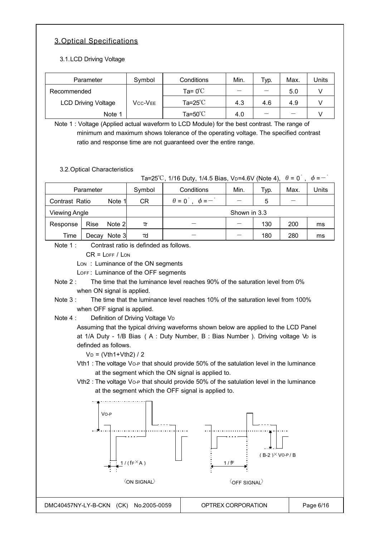## 3.Optical Specifications

3.1.LCD Driving Voltage

| Parameter                  | Symbol  | Conditions                 | Min. | Typ. | Max. | Units |
|----------------------------|---------|----------------------------|------|------|------|-------|
| Recommended                |         | Ta= $0^{\circ}$ C          | _    |      | 5.0  |       |
| <b>LCD Driving Voltage</b> | Vcc-Vee | Ta=25 $^{\circ}\mathrm{C}$ | 4.3  | 4.6  | 4.9  |       |
| Note 1                     |         | Ta= $50^{\circ}$ C         | 4.0  | _    |      |       |

Note 1 : Voltage (Applied actual waveform to LCD Module) for the best contrast. The range of minimum and maximum shows tolerance of the operating voltage. The specified contrast ratio and response time are not guaranteed over the entire range.

3.2.Optical Characteristics

|                                              | 3.2. Optical Characteristics                                                                                                                                                                                              |                                                                                                                                 | Ta=25 <sup>°</sup> C, 1/16 Duty, 1/4.5 Bias, V <sub>D</sub> =4.6V (Note 4),                                                                                                                                                                                                                                                                                                                                                                                                                                                                                                                                                                   |                                        |                               | $\theta = 0$ . | $\phi = -$ |
|----------------------------------------------|---------------------------------------------------------------------------------------------------------------------------------------------------------------------------------------------------------------------------|---------------------------------------------------------------------------------------------------------------------------------|-----------------------------------------------------------------------------------------------------------------------------------------------------------------------------------------------------------------------------------------------------------------------------------------------------------------------------------------------------------------------------------------------------------------------------------------------------------------------------------------------------------------------------------------------------------------------------------------------------------------------------------------------|----------------------------------------|-------------------------------|----------------|------------|
|                                              | Parameter                                                                                                                                                                                                                 | Symbol                                                                                                                          | Conditions                                                                                                                                                                                                                                                                                                                                                                                                                                                                                                                                                                                                                                    | Min.                                   | Typ.                          | Max.           | Units      |
| Contrast Ratio                               | Note 1                                                                                                                                                                                                                    | <b>CR</b>                                                                                                                       | $\theta = 0^{\degree}$ , $\phi = -\degree$                                                                                                                                                                                                                                                                                                                                                                                                                                                                                                                                                                                                    |                                        | 5                             |                |            |
| <b>Viewing Angle</b>                         |                                                                                                                                                                                                                           |                                                                                                                                 |                                                                                                                                                                                                                                                                                                                                                                                                                                                                                                                                                                                                                                               | Shown in 3.3                           |                               |                |            |
| Response                                     | Rise<br>Note 2                                                                                                                                                                                                            | $\tau$ r                                                                                                                        |                                                                                                                                                                                                                                                                                                                                                                                                                                                                                                                                                                                                                                               | $\overline{\phantom{0}}$               | 130                           | 200            | ms         |
| Time                                         | Decay Note 3                                                                                                                                                                                                              | τd                                                                                                                              |                                                                                                                                                                                                                                                                                                                                                                                                                                                                                                                                                                                                                                               | $\overline{\phantom{0}}$               | 180                           | 280            | ms         |
| Note 1:<br>Note $2:$<br>Note 3:<br>Note $4:$ | $CR = LOFF / LON$<br>Lon: Luminance of the ON segments<br>LOFF: Luminance of the OFF segments<br>when ON signal is applied.<br>when OFF signal is applied.<br>definded as follows.<br>$V_D = (Vth1 + Vth2) / 2$<br>$VO-P$ | Contrast ratio is definded as follows.<br>Definition of Driving Voltage VD<br>1/( $f \in X$ A)<br>$\langle$ ON SIGNAL $\rangle$ | The time that the luminance level reaches 90% of the saturation level from 0%<br>The time that the luminance level reaches 10% of the saturation level from 100%<br>Assuming that the typical driving waveforms shown below are applied to the LCD Panel<br>at 1/A Duty - 1/B Bias (A: Duty Number, B: Bias Number). Driving voltage Vo is<br>Vth1 : The voltage Vo-P that should provide 50% of the satulation level in the luminance<br>at the segment which the ON signal is applied to.<br>Vth2 : The voltage Vo-P that should provide 50% of the satulation level in the luminance<br>at the segment which the OFF signal is applied to. | 1/fF<br>$\langle$ OFF SIGNAL $\rangle$ | $(B-2)$ <sup>×</sup> VO-P / B |                |            |

DMC40457NY-LY-B-CKN (CK) No.2005-0059 | OPTREX CORPORATION | Page 6/16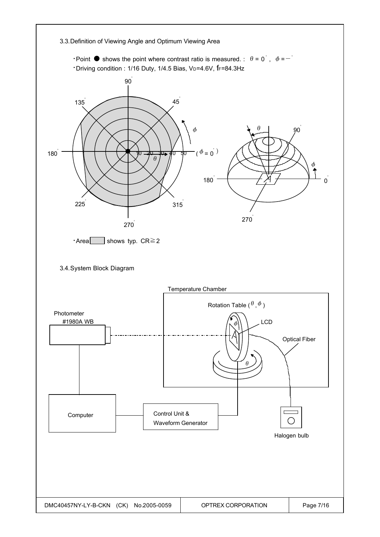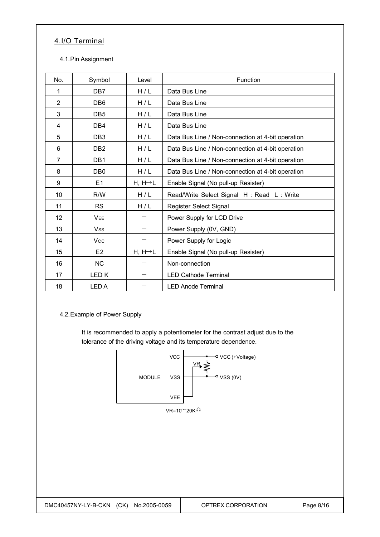## 4.I/O Terminal

#### 4.1.Pin Assignment

| No.            | Symbol           | Level                | Function                                          |
|----------------|------------------|----------------------|---------------------------------------------------|
| 1              | DB7              | H/L                  | Data Bus Line                                     |
| $\overline{2}$ | DB <sub>6</sub>  | H/L                  | Data Bus Line                                     |
| 3              | DB <sub>5</sub>  | H/L                  | Data Bus Line                                     |
| 4              | DB4              | H/L                  | Data Bus Line                                     |
| 5              | DB <sub>3</sub>  | H/L                  | Data Bus Line / Non-connection at 4-bit operation |
| 6              | D <sub>B2</sub>  | H/L                  | Data Bus Line / Non-connection at 4-bit operation |
| $\overline{7}$ | DB <sub>1</sub>  | H/L                  | Data Bus Line / Non-connection at 4-bit operation |
| 8              | DB <sub>0</sub>  | H/L                  | Data Bus Line / Non-connection at 4-bit operation |
| 9              | E1               | $H, H \rightarrow L$ | Enable Signal (No pull-up Resister)               |
| 10             | R/W              | H/L                  | Read/Write Select Signal H: Read L: Write         |
| 11             | <b>RS</b>        | H/L                  | Register Select Signal                            |
| 12             | <b>VEE</b>       |                      | Power Supply for LCD Drive                        |
| 13             | <b>Vss</b>       |                      | Power Supply (0V, GND)                            |
| 14             | Vcc              |                      | Power Supply for Logic                            |
| 15             | E <sub>2</sub>   | $H, H \rightarrow L$ | Enable Signal (No pull-up Resister)               |
| 16             | <b>NC</b>        |                      | Non-connection                                    |
| 17             | LED <sub>K</sub> |                      | <b>LED Cathode Terminal</b>                       |
| 18             | <b>LEDA</b>      |                      | <b>LED Anode Terminal</b>                         |

4.2.Example of Power Supply

It is recommended to apply a potentiometer for the contrast adjust due to the tolerance of the driving voltage and its temperature dependence.

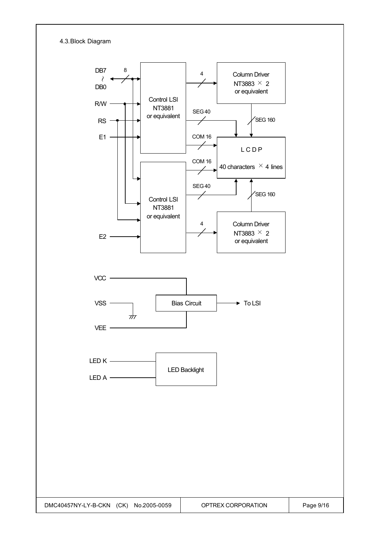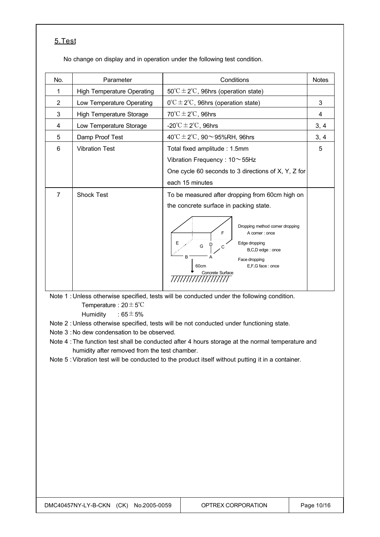## 5.Test

No change on display and in operation under the following test condition.

| No.            | Parameter                         | Conditions                                                                                                                                                                  | <b>Notes</b> |
|----------------|-----------------------------------|-----------------------------------------------------------------------------------------------------------------------------------------------------------------------------|--------------|
| 1              | <b>High Temperature Operating</b> | $50^{\circ}$ C ± 2°C, 96hrs (operation state)                                                                                                                               |              |
| $\overline{2}$ | Low Temperature Operating         | $0^{\circ}C \pm 2^{\circ}C$ , 96hrs (operation state)                                                                                                                       | 3            |
| 3              | <b>High Temperature Storage</b>   | $70^{\circ}$ C $\pm$ 2 $^{\circ}$ C, 96hrs                                                                                                                                  | 4            |
| 4              | Low Temperature Storage           | -20 $\mathrm{^{\circ}C} \pm 2\mathrm{^{\circ}C}$ , 96hrs                                                                                                                    | 3, 4         |
| 5              | Damp Proof Test                   | 40°C $\pm$ 2°C, 90 $\sim$ 95%RH, 96hrs                                                                                                                                      | 3, 4         |
| 6              | <b>Vibration Test</b>             | Total fixed amplitude: 1.5mm                                                                                                                                                | 5            |
|                |                                   | Vibration Frequency: $10 \sim 55$ Hz                                                                                                                                        |              |
|                |                                   | One cycle 60 seconds to 3 directions of X, Y, Z for                                                                                                                         |              |
|                |                                   | each 15 minutes                                                                                                                                                             |              |
| $\overline{7}$ | <b>Shock Test</b>                 | To be measured after dropping from 60cm high on                                                                                                                             |              |
|                |                                   | the concrete surface in packing state.                                                                                                                                      |              |
|                |                                   | Dropping method corner dropping<br>F<br>A corner: once<br>Edge dropping<br>G<br>С<br>B,C,D edge: once<br>B<br>Face dropping<br>E,F,G face: once<br>60cm<br>Concrete Surface |              |

Note 1 : Unless otherwise specified, tests will be conducted under the following condition. Temperature : 20±5℃

Humidity :  $65 \pm 5\%$ 

Note 2 : Unless otherwise specified, tests will be not conducted under functioning state.

- Note 3 : No dew condensation to be observed.
- Note 4 :The function test shall be conducted after 4 hours storage at the normal temperature and humidity after removed from the test chamber.
- Note 5 :Vibration test will be conducted to the product itself without putting it in a container.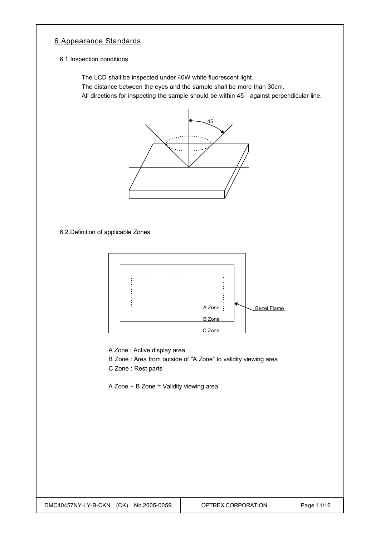### 6.Appearance Standards

6.1.Inspection conditions

The LCD shall be inspected under 40W white fluorescent light.

The distance between the eyes and the sample shall be more than 30cm.

All directions for inspecting the sample should be within 45<sup>°</sup> against perpendicular line.



6.2.Definition of applicable Zones



A Zone : Active display area

B Zone : Area from outside of "A Zone" to validity viewing area

C Zone : Rest parts

A Zone + B Zone = Validity viewing area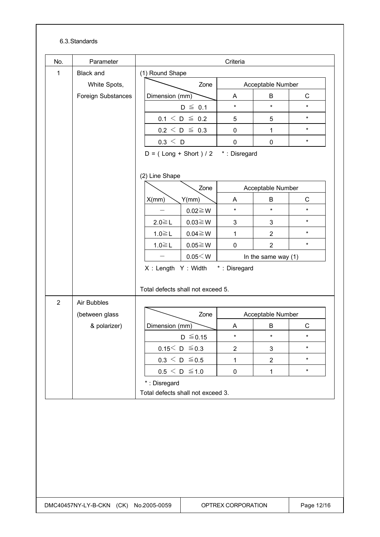#### 6.3.Standards

| <b>Black and</b><br>(1) Round Shape<br>1<br>White Spots,<br>Zone<br>Acceptable Number<br>$\mathsf{C}$<br>Foreign Substances<br>B<br>Dimension (mm)<br>A<br>$\star$<br>$\star$<br>$\star$<br>$D \leq 0.1$<br>$\star$<br>$0.1 \le D \le 0.2$<br>5<br>5<br>$\star$<br>$0.2 \le D \le 0.3$<br>0<br>$\mathbf{1}$<br>0.3 < D<br>$\star$<br>0<br>$\mathbf 0$<br>$D = (Long + Short) / 2$ *: Disregard<br>(2) Line Shape<br>Acceptable Number<br>Zone<br>$\mathbf C$<br>B<br>X/mm)<br>Y(mm)<br>A<br>$\star$<br>$\star$<br>$\star$<br>$0.02 \ge W$<br>$\star$<br>$2.0 \le L$<br>$0.03 \ge W$<br>$\mathfrak{S}$<br>3<br>$\star$<br>$1.0 \leq L$<br>$0.04 \ge W$<br>1<br>$\overline{2}$<br>$\star$<br>$1.0 \leq L$<br>$0.05 \ge W$<br>$\sqrt{2}$<br>0<br>$0.05<$ W<br>In the same way $(1)$<br>X: Length Y: Width *: Disregard<br>Total defects shall not exceed 5.<br>$\overline{2}$<br>Air Bubbles<br>Zone<br>(between glass<br>Acceptable Number<br>$\mathsf C$<br>& polarizer)<br>B<br>Dimension (mm)<br>A<br>$\star$<br>$D \leq 0.15$<br>$\star$<br>$\star$<br>$0.15< D \le 0.3$<br>$\star$<br>$\ensuremath{\mathsf{3}}$<br>$\mathbf{2}$<br>$0.3 \le D \le 0.5$<br>$\star$<br>$\mathbf{1}$<br>$\mathbf{2}$<br>$0.5 \leq D \leq 1.0$<br>$\star$<br>$\pmb{0}$<br>$\mathbf 1$<br>*: Disregard<br>Total defects shall not exceed 3. |  |  |  |  |  |  |  |
|---------------------------------------------------------------------------------------------------------------------------------------------------------------------------------------------------------------------------------------------------------------------------------------------------------------------------------------------------------------------------------------------------------------------------------------------------------------------------------------------------------------------------------------------------------------------------------------------------------------------------------------------------------------------------------------------------------------------------------------------------------------------------------------------------------------------------------------------------------------------------------------------------------------------------------------------------------------------------------------------------------------------------------------------------------------------------------------------------------------------------------------------------------------------------------------------------------------------------------------------------------------------------------------------------------------------------|--|--|--|--|--|--|--|
|                                                                                                                                                                                                                                                                                                                                                                                                                                                                                                                                                                                                                                                                                                                                                                                                                                                                                                                                                                                                                                                                                                                                                                                                                                                                                                                           |  |  |  |  |  |  |  |
|                                                                                                                                                                                                                                                                                                                                                                                                                                                                                                                                                                                                                                                                                                                                                                                                                                                                                                                                                                                                                                                                                                                                                                                                                                                                                                                           |  |  |  |  |  |  |  |
|                                                                                                                                                                                                                                                                                                                                                                                                                                                                                                                                                                                                                                                                                                                                                                                                                                                                                                                                                                                                                                                                                                                                                                                                                                                                                                                           |  |  |  |  |  |  |  |
|                                                                                                                                                                                                                                                                                                                                                                                                                                                                                                                                                                                                                                                                                                                                                                                                                                                                                                                                                                                                                                                                                                                                                                                                                                                                                                                           |  |  |  |  |  |  |  |
|                                                                                                                                                                                                                                                                                                                                                                                                                                                                                                                                                                                                                                                                                                                                                                                                                                                                                                                                                                                                                                                                                                                                                                                                                                                                                                                           |  |  |  |  |  |  |  |
|                                                                                                                                                                                                                                                                                                                                                                                                                                                                                                                                                                                                                                                                                                                                                                                                                                                                                                                                                                                                                                                                                                                                                                                                                                                                                                                           |  |  |  |  |  |  |  |
|                                                                                                                                                                                                                                                                                                                                                                                                                                                                                                                                                                                                                                                                                                                                                                                                                                                                                                                                                                                                                                                                                                                                                                                                                                                                                                                           |  |  |  |  |  |  |  |
|                                                                                                                                                                                                                                                                                                                                                                                                                                                                                                                                                                                                                                                                                                                                                                                                                                                                                                                                                                                                                                                                                                                                                                                                                                                                                                                           |  |  |  |  |  |  |  |
|                                                                                                                                                                                                                                                                                                                                                                                                                                                                                                                                                                                                                                                                                                                                                                                                                                                                                                                                                                                                                                                                                                                                                                                                                                                                                                                           |  |  |  |  |  |  |  |
|                                                                                                                                                                                                                                                                                                                                                                                                                                                                                                                                                                                                                                                                                                                                                                                                                                                                                                                                                                                                                                                                                                                                                                                                                                                                                                                           |  |  |  |  |  |  |  |
|                                                                                                                                                                                                                                                                                                                                                                                                                                                                                                                                                                                                                                                                                                                                                                                                                                                                                                                                                                                                                                                                                                                                                                                                                                                                                                                           |  |  |  |  |  |  |  |
|                                                                                                                                                                                                                                                                                                                                                                                                                                                                                                                                                                                                                                                                                                                                                                                                                                                                                                                                                                                                                                                                                                                                                                                                                                                                                                                           |  |  |  |  |  |  |  |
|                                                                                                                                                                                                                                                                                                                                                                                                                                                                                                                                                                                                                                                                                                                                                                                                                                                                                                                                                                                                                                                                                                                                                                                                                                                                                                                           |  |  |  |  |  |  |  |
|                                                                                                                                                                                                                                                                                                                                                                                                                                                                                                                                                                                                                                                                                                                                                                                                                                                                                                                                                                                                                                                                                                                                                                                                                                                                                                                           |  |  |  |  |  |  |  |
|                                                                                                                                                                                                                                                                                                                                                                                                                                                                                                                                                                                                                                                                                                                                                                                                                                                                                                                                                                                                                                                                                                                                                                                                                                                                                                                           |  |  |  |  |  |  |  |
|                                                                                                                                                                                                                                                                                                                                                                                                                                                                                                                                                                                                                                                                                                                                                                                                                                                                                                                                                                                                                                                                                                                                                                                                                                                                                                                           |  |  |  |  |  |  |  |
|                                                                                                                                                                                                                                                                                                                                                                                                                                                                                                                                                                                                                                                                                                                                                                                                                                                                                                                                                                                                                                                                                                                                                                                                                                                                                                                           |  |  |  |  |  |  |  |
|                                                                                                                                                                                                                                                                                                                                                                                                                                                                                                                                                                                                                                                                                                                                                                                                                                                                                                                                                                                                                                                                                                                                                                                                                                                                                                                           |  |  |  |  |  |  |  |
|                                                                                                                                                                                                                                                                                                                                                                                                                                                                                                                                                                                                                                                                                                                                                                                                                                                                                                                                                                                                                                                                                                                                                                                                                                                                                                                           |  |  |  |  |  |  |  |
|                                                                                                                                                                                                                                                                                                                                                                                                                                                                                                                                                                                                                                                                                                                                                                                                                                                                                                                                                                                                                                                                                                                                                                                                                                                                                                                           |  |  |  |  |  |  |  |
|                                                                                                                                                                                                                                                                                                                                                                                                                                                                                                                                                                                                                                                                                                                                                                                                                                                                                                                                                                                                                                                                                                                                                                                                                                                                                                                           |  |  |  |  |  |  |  |
|                                                                                                                                                                                                                                                                                                                                                                                                                                                                                                                                                                                                                                                                                                                                                                                                                                                                                                                                                                                                                                                                                                                                                                                                                                                                                                                           |  |  |  |  |  |  |  |
|                                                                                                                                                                                                                                                                                                                                                                                                                                                                                                                                                                                                                                                                                                                                                                                                                                                                                                                                                                                                                                                                                                                                                                                                                                                                                                                           |  |  |  |  |  |  |  |
|                                                                                                                                                                                                                                                                                                                                                                                                                                                                                                                                                                                                                                                                                                                                                                                                                                                                                                                                                                                                                                                                                                                                                                                                                                                                                                                           |  |  |  |  |  |  |  |
|                                                                                                                                                                                                                                                                                                                                                                                                                                                                                                                                                                                                                                                                                                                                                                                                                                                                                                                                                                                                                                                                                                                                                                                                                                                                                                                           |  |  |  |  |  |  |  |
|                                                                                                                                                                                                                                                                                                                                                                                                                                                                                                                                                                                                                                                                                                                                                                                                                                                                                                                                                                                                                                                                                                                                                                                                                                                                                                                           |  |  |  |  |  |  |  |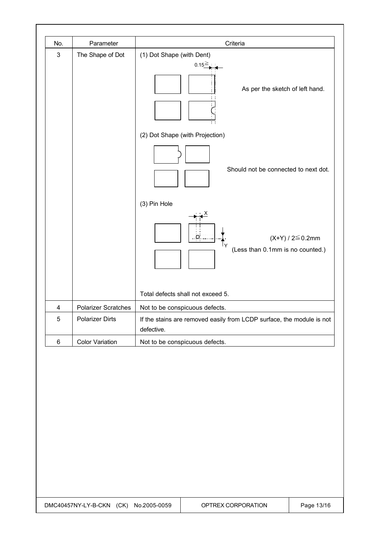| No.        | Parameter                             | Criteria                              |                                                                       |  |
|------------|---------------------------------------|---------------------------------------|-----------------------------------------------------------------------|--|
| $\sqrt{3}$ | The Shape of Dot                      | (1) Dot Shape (with Dent)<br>$0.15 =$ |                                                                       |  |
|            |                                       |                                       |                                                                       |  |
|            |                                       | As per the sketch of left hand.       |                                                                       |  |
|            |                                       | (2) Dot Shape (with Projection)       |                                                                       |  |
|            |                                       | Should not be connected to next dot.  |                                                                       |  |
|            |                                       | (3) Pin Hole                          |                                                                       |  |
|            |                                       | (Less than 0.1mm is no counted.)      | $(X+Y) / 2 \le 0.2$ mm                                                |  |
|            |                                       | Total defects shall not exceed 5.     |                                                                       |  |
| 4          | <b>Polarizer Scratches</b>            | Not to be conspicuous defects.        |                                                                       |  |
| $\sqrt{5}$ | <b>Polarizer Dirts</b>                | defective.                            | If the stains are removed easily from LCDP surface, the module is not |  |
| $\,6\,$    | <b>Color Variation</b>                | Not to be conspicuous defects.        |                                                                       |  |
|            |                                       |                                       |                                                                       |  |
|            | DMC40457NY-LY-B-CKN (CK) No.2005-0059 | OPTREX CORPORATION                    | Page 13/16                                                            |  |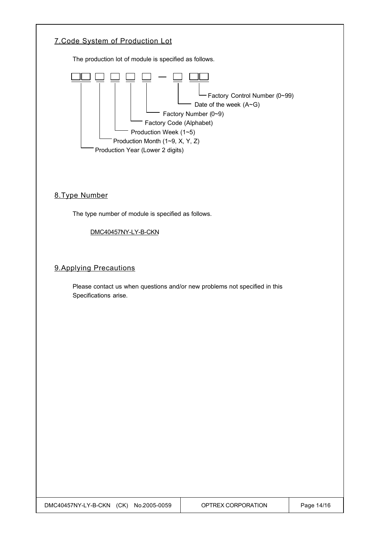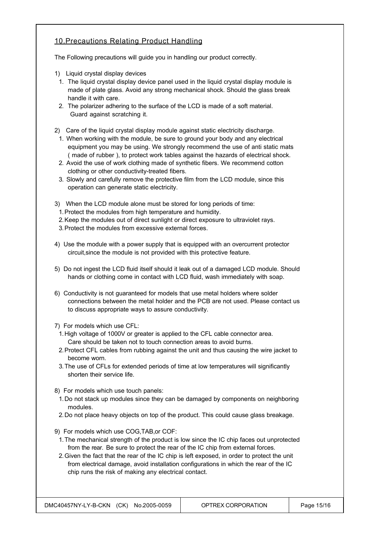### 10.Precautions Relating Product Handling

The Following precautions will guide you in handling our product correctly.

- 1) Liquid crystal display devices
- 1. The liquid crystal display device panel used in the liquid crystal display module is made of plate glass. Avoid any strong mechanical shock. Should the glass break handle it with care.
- 2. The polarizer adhering to the surface of the LCD is made of a soft material. Guard against scratching it.
- 2) Care of the liquid crystal display module against static electricity discharge.
- 1. When working with the module, be sure to ground your body and any electrical equipment you may be using. We strongly recommend the use of anti static mats ( made of rubber ), to protect work tables against the hazards of electrical shock.
- 2. Avoid the use of work clothing made of synthetic fibers. We recommend cotton clothing or other conductivity-treated fibers.
- 3. Slowly and carefully remove the protective film from the LCD module, since this operation can generate static electricity.
- 3) When the LCD module alone must be stored for long periods of time:
	- 1.Protect the modules from high temperature and humidity.
- 2.Keep the modules out of direct sunlight or direct exposure to ultraviolet rays.
- 3.Protect the modules from excessive external forces.
- 4) Use the module with a power supply that is equipped with an overcurrent protector circuit,since the module is not provided with this protective feature.
- 5) Do not ingest the LCD fluid itself should it leak out of a damaged LCD module. Should hands or clothing come in contact with LCD fluid, wash immediately with soap.
- 6) Conductivity is not guaranteed for models that use metal holders where solder connections between the metal holder and the PCB are not used. Please contact us to discuss appropriate ways to assure conductivity.
- 7) For models which use CFL:
	- 1.High voltage of 1000V or greater is applied to the CFL cable connector area. Care should be taken not to touch connection areas to avoid burns.
- 2.Protect CFL cables from rubbing against the unit and thus causing the wire jacket to become worn.
- 3.The use of CFLs for extended periods of time at low temperatures will significantly shorten their service life.
- 8) For models which use touch panels:
- 1.Do not stack up modules since they can be damaged by components on neighboring modules.
- 2.Do not place heavy objects on top of the product. This could cause glass breakage.
- 9) For models which use COG,TAB,or COF:
- 1.The mechanical strength of the product is low since the IC chip faces out unprotected from the rear. Be sure to protect the rear of the IC chip from external forces.
- 2.Given the fact that the rear of the IC chip is left exposed, in order to protect the unit from electrical damage, avoid installation configurations in which the rear of the IC chip runs the risk of making any electrical contact.